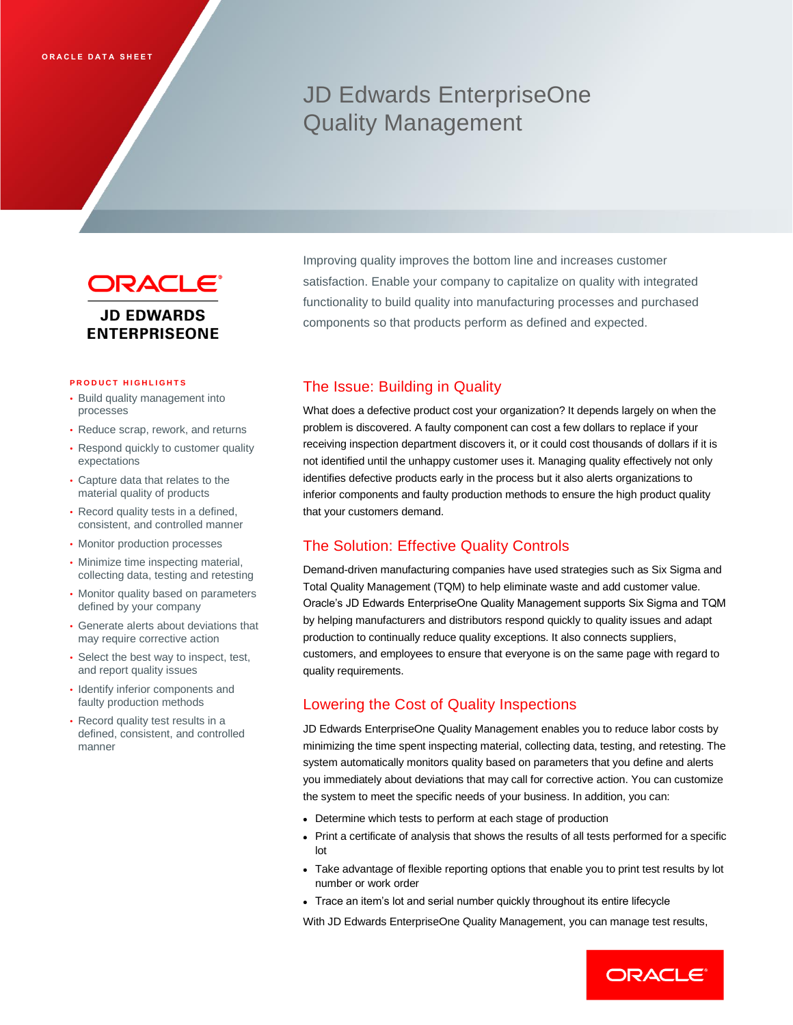# JD Edwards EnterpriseOne Quality Management



#### **PRODUCT HIGHLIGHTS**

- Build quality management into processes
- Reduce scrap, rework, and returns
- Respond quickly to customer quality expectations
- Capture data that relates to the material quality of products
- Record quality tests in a defined, consistent, and controlled manner
- Monitor production processes
- Minimize time inspecting material, collecting data, testing and retesting
- Monitor quality based on parameters defined by your company
- Generate alerts about deviations that may require corrective action
- Select the best way to inspect, test, and report quality issues
- Identify inferior components and faulty production methods
- Record quality test results in a defined, consistent, and controlled manner

Improving quality improves the bottom line and increases customer satisfaction. Enable your company to capitalize on quality with integrated functionality to build quality into manufacturing processes and purchased components so that products perform as defined and expected.

# The Issue: Building in Quality

What does a defective product cost your organization? It depends largely on when the problem is discovered. A faulty component can cost a few dollars to replace if your receiving inspection department discovers it, or it could cost thousands of dollars if it is not identified until the unhappy customer uses it. Managing quality effectively not only identifies defective products early in the process but it also alerts organizations to inferior components and faulty production methods to ensure the high product quality that your customers demand.

## The Solution: Effective Quality Controls

Demand-driven manufacturing companies have used strategies such as Six Sigma and Total Quality Management (TQM) to help eliminate waste and add customer value. Oracle's JD Edwards EnterpriseOne Quality Management supports Six Sigma and TQM by helping manufacturers and distributors respond quickly to quality issues and adapt production to continually reduce quality exceptions. It also connects suppliers, customers, and employees to ensure that everyone is on the same page with regard to quality requirements.

# Lowering the Cost of Quality Inspections

JD Edwards EnterpriseOne Quality Management enables you to reduce labor costs by minimizing the time spent inspecting material, collecting data, testing, and retesting. The system automatically monitors quality based on parameters that you define and alerts you immediately about deviations that may call for corrective action. You can customize the system to meet the specific needs of your business. In addition, you can:

- Determine which tests to perform at each stage of production
- Print a certificate of analysis that shows the results of all tests performed for a specific lot
- Take advantage of flexible reporting options that enable you to print test results by lot number or work order
- Trace an item's lot and serial number quickly throughout its entire lifecycle

With JD Edwards EnterpriseOne Quality Management, you can manage test results,

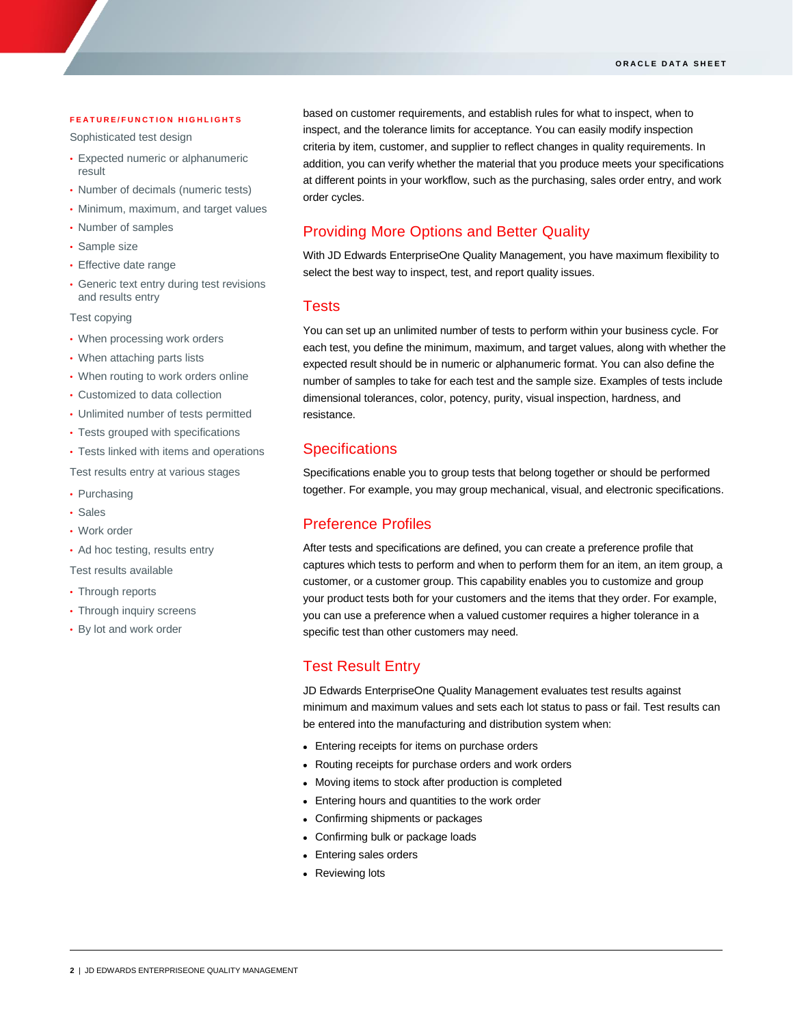#### **F E A T U R E / F U N C T I O N H I G H L I G H T S**

Sophisticated test design

- Expected numeric or alphanumeric result
- Number of decimals (numeric tests)
- Minimum, maximum, and target values
- Number of samples
- Sample size

ī

- Effective date range
- Generic text entry during test revisions and results entry

Test copying

- When processing work orders
- When attaching parts lists
- When routing to work orders online
- Customized to data collection
- Unlimited number of tests permitted
- Tests grouped with specifications
- Tests linked with items and operations

Test results entry at various stages

- Purchasing
- Sales
- Work order
- Ad hoc testing, results entry

Test results available

- Through reports
- Through inquiry screens
- By lot and work order

based on customer requirements, and establish rules for what to inspect, when to inspect, and the tolerance limits for acceptance. You can easily modify inspection criteria by item, customer, and supplier to reflect changes in quality requirements. In addition, you can verify whether the material that you produce meets your specifications at different points in your workflow, such as the purchasing, sales order entry, and work order cycles.

# Providing More Options and Better Quality

With JD Edwards EnterpriseOne Quality Management, you have maximum flexibility to select the best way to inspect, test, and report quality issues.

#### Tests

You can set up an unlimited number of tests to perform within your business cycle. For each test, you define the minimum, maximum, and target values, along with whether the expected result should be in numeric or alphanumeric format. You can also define the number of samples to take for each test and the sample size. Examples of tests include dimensional tolerances, color, potency, purity, visual inspection, hardness, and resistance.

## **Specifications**

Specifications enable you to group tests that belong together or should be performed together. For example, you may group mechanical, visual, and electronic specifications.

## Preference Profiles

After tests and specifications are defined, you can create a preference profile that captures which tests to perform and when to perform them for an item, an item group, a customer, or a customer group. This capability enables you to customize and group your product tests both for your customers and the items that they order. For example, you can use a preference when a valued customer requires a higher tolerance in a specific test than other customers may need.

### Test Result Entry

JD Edwards EnterpriseOne Quality Management evaluates test results against minimum and maximum values and sets each lot status to pass or fail. Test results can be entered into the manufacturing and distribution system when:

- Entering receipts for items on purchase orders
- Routing receipts for purchase orders and work orders
- Moving items to stock after production is completed
- Entering hours and quantities to the work order
- Confirming shipments or packages
- Confirming bulk or package loads
- Entering sales orders
- Reviewing lots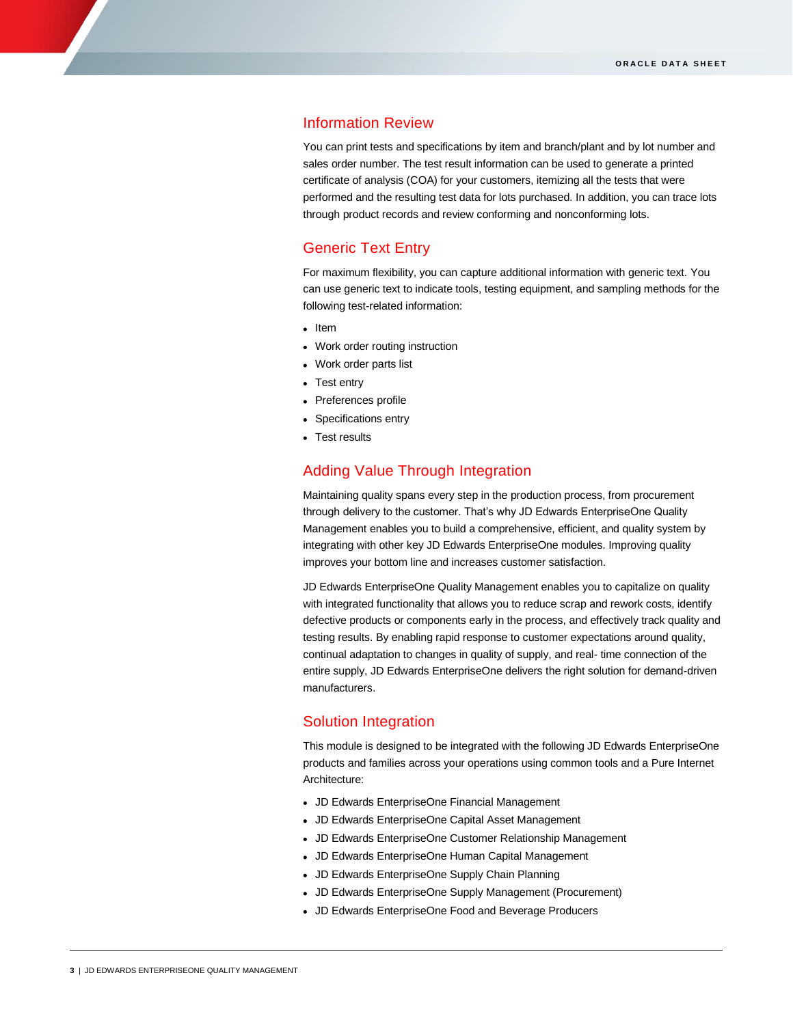### Information Review

You can print tests and specifications by item and branch/plant and by lot number and sales order number. The test result information can be used to generate a printed certificate of analysis (COA) for your customers, itemizing all the tests that were performed and the resulting test data for lots purchased. In addition, you can trace lots through product records and review conforming and nonconforming lots.

## Generic Text Entry

For maximum flexibility, you can capture additional information with generic text. You can use generic text to indicate tools, testing equipment, and sampling methods for the following test-related information:

- Item
- Work order routing instruction
- Work order parts list
- Test entry
- Preferences profile
- Specifications entry
- Test results

### Adding Value Through Integration

Maintaining quality spans every step in the production process, from procurement through delivery to the customer. That's why JD Edwards EnterpriseOne Quality Management enables you to build a comprehensive, efficient, and quality system by integrating with other key JD Edwards EnterpriseOne modules. Improving quality improves your bottom line and increases customer satisfaction.

JD Edwards EnterpriseOne Quality Management enables you to capitalize on quality with integrated functionality that allows you to reduce scrap and rework costs, identify defective products or components early in the process, and effectively track quality and testing results. By enabling rapid response to customer expectations around quality, continual adaptation to changes in quality of supply, and real- time connection of the entire supply, JD Edwards EnterpriseOne delivers the right solution for demand-driven manufacturers.

#### Solution Integration

This module is designed to be integrated with the following JD Edwards EnterpriseOne products and families across your operations using common tools and a Pure Internet Architecture:

- JD Edwards EnterpriseOne Financial Management
- JD Edwards EnterpriseOne Capital Asset Management
- JD Edwards EnterpriseOne Customer Relationship Management
- JD Edwards EnterpriseOne Human Capital Management
- JD Edwards EnterpriseOne Supply Chain Planning
- JD Edwards EnterpriseOne Supply Management (Procurement)
- JD Edwards EnterpriseOne Food and Beverage Producers

ī